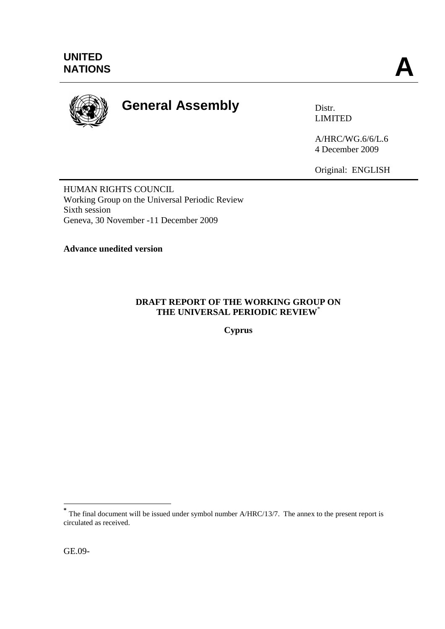

# **General Assembly** Distr.

LIMITED

A/HRC/WG.6/6/L.6 4 December 2009

Original: ENGLISH

HUMAN RIGHTS COUNCIL Working Group on the Universal Periodic Review Sixth session Geneva, 30 November -11 December 2009

**Advance unedited version** 

### **DRAFT REPORT OF THE WORKING GROUP ON THE UNIVERSAL PERIODIC REVIEW**\*

**Cyprus**

1

**<sup>\*</sup>** The final document will be issued under symbol number A/HRC/13/7. The annex to the present report is circulated as received.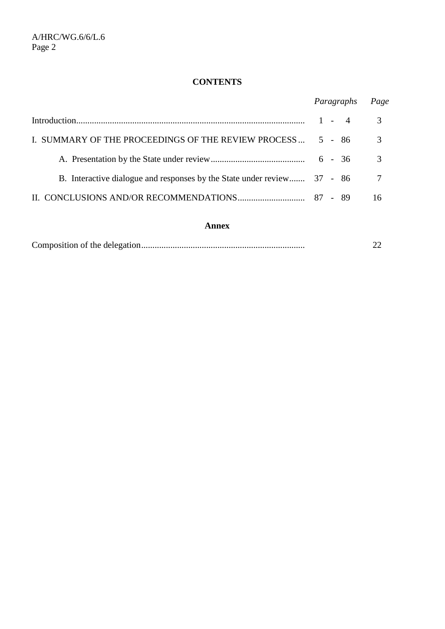## **CONTENTS**

|                                                                         | Paragraphs | Page |
|-------------------------------------------------------------------------|------------|------|
|                                                                         | $1 - 4$    | 3    |
| I. SUMMARY OF THE PROCEEDINGS OF THE REVIEW PROCESS                     | 5 - 86     | 3    |
|                                                                         |            | 3    |
| B. Interactive dialogue and responses by the State under review 37 - 86 |            | -7   |
|                                                                         |            | 16   |

#### **Annex**

|--|--|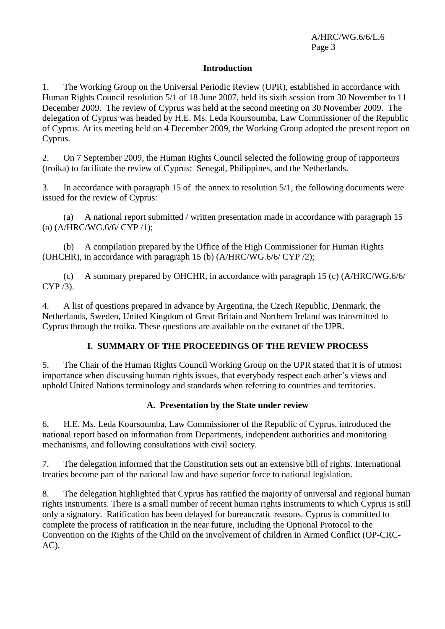#### **Introduction**

1. The Working Group on the Universal Periodic Review (UPR), established in accordance with Human Rights Council resolution 5/1 of 18 June 2007, held its sixth session from 30 November to 11 December 2009. The review of Cyprus was held at the second meeting on 30 November 2009. The delegation of Cyprus was headed by H.E. Ms. Leda Koursoumba, Law Commissioner of the Republic of Cyprus. At its meeting held on 4 December 2009, the Working Group adopted the present report on Cyprus.

2. On 7 September 2009, the Human Rights Council selected the following group of rapporteurs (troika) to facilitate the review of Cyprus: Senegal, Philippines, and the Netherlands.

3. In accordance with paragraph 15 of the annex to resolution 5/1, the following documents were issued for the review of Cyprus:

(a) A national report submitted / written presentation made in accordance with paragraph 15 (a) (A/HRC/WG.6/6/ CYP /1);

(b) A compilation prepared by the Office of the High Commissioner for Human Rights (OHCHR), in accordance with paragraph 15 (b) (A/HRC/WG.6/6/ CYP /2);

(c) A summary prepared by OHCHR, in accordance with paragraph 15 (c) (A/HRC/WG.6/6/ CYP /3).

4. A list of questions prepared in advance by Argentina, the Czech Republic, Denmark, the Netherlands, Sweden, United Kingdom of Great Britain and Northern Ireland was transmitted to Cyprus through the troika. These questions are available on the extranet of the UPR.

#### **I. SUMMARY OF THE PROCEEDINGS OF THE REVIEW PROCESS**

5. The Chair of the Human Rights Council Working Group on the UPR stated that it is of utmost importance when discussing human rights issues, that everybody respect each other's views and uphold United Nations terminology and standards when referring to countries and territories.

#### **A. Presentation by the State under review**

6. H.E. Ms. Leda Koursoumba, Law Commissioner of the Republic of Cyprus, introduced the national report based on information from Departments, independent authorities and monitoring mechanisms, and following consultations with civil society.

7. The delegation informed that the Constitution sets out an extensive bill of rights. International treaties become part of the national law and have superior force to national legislation.

8. The delegation highlighted that Cyprus has ratified the majority of universal and regional human rights instruments. There is a small number of recent human rights instruments to which Cyprus is still only a signatory. Ratification has been delayed for bureaucratic reasons. Cyprus is committed to complete the process of ratification in the near future, including the Optional Protocol to the Convention on the Rights of the Child on the involvement of children in Armed Conflict (OP-CRC-AC).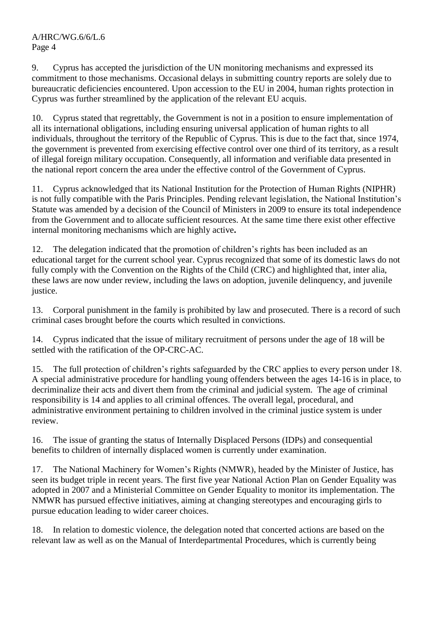9. Cyprus has accepted the jurisdiction of the UN monitoring mechanisms and expressed its commitment to those mechanisms. Occasional delays in submitting country reports are solely due to bureaucratic deficiencies encountered. Upon accession to the EU in 2004, human rights protection in Cyprus was further streamlined by the application of the relevant EU acquis.

10. Cyprus stated that regrettably, the Government is not in a position to ensure implementation of all its international obligations, including ensuring universal application of human rights to all individuals, throughout the territory of the Republic of Cyprus. This is due to the fact that, since 1974, the government is prevented from exercising effective control over one third of its territory, as a result of illegal foreign military occupation. Consequently, all information and verifiable data presented in the national report concern the area under the effective control of the Government of Cyprus.

11. Cyprus acknowledged that its National Institution for the Protection of Human Rights (NIPHR) is not fully compatible with the Paris Principles. Pending relevant legislation, the National Institution's Statute was amended by a decision of the Council of Ministers in 2009 to ensure its total independence from the Government and to allocate sufficient resources. At the same time there exist other effective internal monitoring mechanisms which are highly active**.**

12. The delegation indicated that the promotion of children's rights has been included as an educational target for the current school year. Cyprus recognized that some of its domestic laws do not fully comply with the Convention on the Rights of the Child (CRC) and highlighted that, inter alia, these laws are now under review, including the laws on adoption, juvenile delinquency, and juvenile justice.

13. Corporal punishment in the family is prohibited by law and prosecuted. There is a record of such criminal cases brought before the courts which resulted in convictions.

14. Cyprus indicated that the issue of military recruitment of persons under the age of 18 will be settled with the ratification of the OP-CRC-AC.

15. The full protection of children's rights safeguarded by the CRC applies to every person under 18. A special administrative procedure for handling young offenders between the ages 14-16 is in place, to decriminalize their acts and divert them from the criminal and judicial system. The age of criminal responsibility is 14 and applies to all criminal offences. The overall legal, procedural, and administrative environment pertaining to children involved in the criminal justice system is under review.

16. The issue of granting the status of Internally Displaced Persons (IDPs) and consequential benefits to children of internally displaced women is currently under examination.

17. The National Machinery for Women's Rights (NMWR), headed by the Minister of Justice, has seen its budget triple in recent years. The first five year National Action Plan on Gender Equality was adopted in 2007 and a Ministerial Committee on Gender Equality to monitor its implementation. The NMWR has pursued effective initiatives, aiming at changing stereotypes and encouraging girls to pursue education leading to wider career choices.

18. In relation to domestic violence, the delegation noted that concerted actions are based on the relevant law as well as on the Manual of Interdepartmental Procedures, which is currently being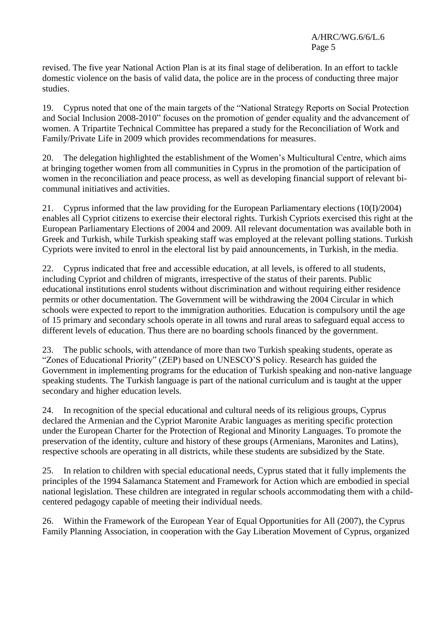revised. The five year National Action Plan is at its final stage of deliberation. In an effort to tackle domestic violence on the basis of valid data, the police are in the process of conducting three major studies.

19. Cyprus noted that one of the main targets of the "National Strategy Reports on Social Protection and Social Inclusion 2008-2010" focuses on the promotion of gender equality and the advancement of women. A Tripartite Technical Committee has prepared a study for the Reconciliation of Work and Family/Private Life in 2009 which provides recommendations for measures.

20. The delegation highlighted the establishment of the Women's Multicultural Centre, which aims at bringing together women from all communities in Cyprus in the promotion of the participation of women in the reconciliation and peace process, as well as developing financial support of relevant bicommunal initiatives and activities.

21. Cyprus informed that the law providing for the European Parliamentary elections (10(I)/2004) enables all Cypriot citizens to exercise their electoral rights. Turkish Cypriots exercised this right at the European Parliamentary Elections of 2004 and 2009. All relevant documentation was available both in Greek and Turkish, while Turkish speaking staff was employed at the relevant polling stations. Turkish Cypriots were invited to enrol in the electoral list by paid announcements, in Turkish, in the media.

22. Cyprus indicated that free and accessible education, at all levels, is offered to all students, including Cypriot and children of migrants, irrespective of the status of their parents. Public educational institutions enrol students without discrimination and without requiring either residence permits or other documentation. The Government will be withdrawing the 2004 Circular in which schools were expected to report to the immigration authorities. Education is compulsory until the age of 15 primary and secondary schools operate in all towns and rural areas to safeguard equal access to different levels of education. Thus there are no boarding schools financed by the government.

23. The public schools, with attendance of more than two Turkish speaking students, operate as "Zones of Educational Priority" (ZEP) based on UNESCO'S policy. Research has guided the Government in implementing programs for the education of Turkish speaking and non-native language speaking students. The Turkish language is part of the national curriculum and is taught at the upper secondary and higher education levels.

24. In recognition of the special educational and cultural needs of its religious groups, Cyprus declared the Armenian and the Cypriot Maronite Arabic languages as meriting specific protection under the European Charter for the Protection of Regional and Minority Languages. To promote the preservation of the identity, culture and history of these groups (Armenians, Maronites and Latins), respective schools are operating in all districts, while these students are subsidized by the State.

25. In relation to children with special educational needs, Cyprus stated that it fully implements the principles of the 1994 Salamanca Statement and Framework for Action which are embodied in special national legislation. These children are integrated in regular schools accommodating them with a childcentered pedagogy capable of meeting their individual needs.

26. Within the Framework of the European Year of Equal Opportunities for All (2007), the Cyprus Family Planning Association, in cooperation with the Gay Liberation Movement of Cyprus, organized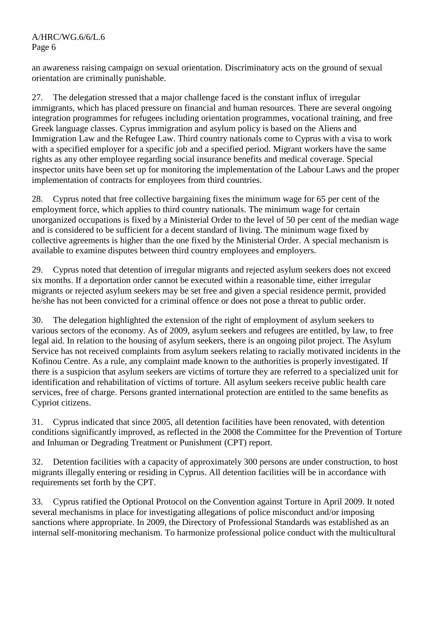an awareness raising campaign on sexual orientation. Discriminatory acts on the ground of sexual orientation are criminally punishable.

27. The delegation stressed that a major challenge faced is the constant influx of irregular immigrants, which has placed pressure on financial and human resources. There are several ongoing integration programmes for refugees including orientation programmes, vocational training, and free Greek language classes. Cyprus immigration and asylum policy is based on the Aliens and Immigration Law and the Refugee Law. Third country nationals come to Cyprus with a visa to work with a specified employer for a specific job and a specified period. Migrant workers have the same rights as any other employee regarding social insurance benefits and medical coverage. Special inspector units have been set up for monitoring the implementation of the Labour Laws and the proper implementation of contracts for employees from third countries.

28. Cyprus noted that free collective bargaining fixes the minimum wage for 65 per cent of the employment force, which applies to third country nationals. The minimum wage for certain unorganized occupations is fixed by a Ministerial Order to the level of 50 per cent of the median wage and is considered to be sufficient for a decent standard of living. The minimum wage fixed by collective agreements is higher than the one fixed by the Ministerial Order. A special mechanism is available to examine disputes between third country employees and employers.

29. Cyprus noted that detention of irregular migrants and rejected asylum seekers does not exceed six months. If a deportation order cannot be executed within a reasonable time, either irregular migrants or rejected asylum seekers may be set free and given a special residence permit, provided he/she has not been convicted for a criminal offence or does not pose a threat to public order.

30. The delegation highlighted the extension of the right of employment of asylum seekers to various sectors of the economy. As of 2009, asylum seekers and refugees are entitled, by law, to free legal aid. In relation to the housing of asylum seekers, there is an ongoing pilot project. The Asylum Service has not received complaints from asylum seekers relating to racially motivated incidents in the Kofinou Centre. As a rule, any complaint made known to the authorities is properly investigated. If there is a suspicion that asylum seekers are victims of torture they are referred to a specialized unit for identification and rehabilitation of victims of torture. All asylum seekers receive public health care services, free of charge. Persons granted international protection are entitled to the same benefits as Cypriot citizens.

31. Cyprus indicated that since 2005, all detention facilities have been renovated, with detention conditions significantly improved, as reflected in the 2008 the Committee for the Prevention of Torture and Inhuman or Degrading Treatment or Punishment (CPT) report.

32. Detention facilities with a capacity of approximately 300 persons are under construction, to host migrants illegally entering or residing in Cyprus. All detention facilities will be in accordance with requirements set forth by the CPT.

33. Cyprus ratified the Optional Protocol on the Convention against Torture in April 2009. It noted several mechanisms in place for investigating allegations of police misconduct and/or imposing sanctions where appropriate. In 2009, the Directory of Professional Standards was established as an internal self-monitoring mechanism. To harmonize professional police conduct with the multicultural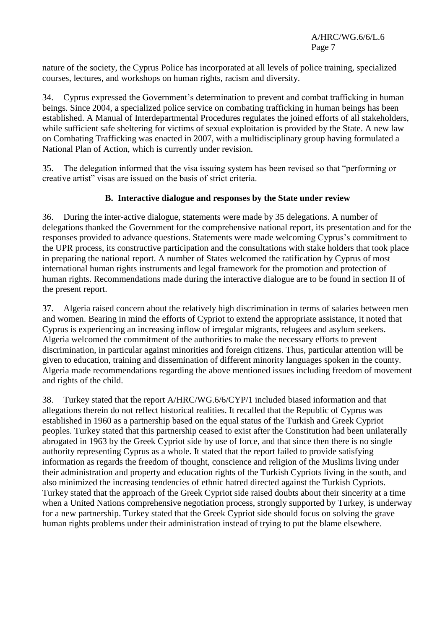nature of the society, the Cyprus Police has incorporated at all levels of police training, specialized courses, lectures, and workshops on human rights, racism and diversity.

34. Cyprus expressed the Government's determination to prevent and combat trafficking in human beings. Since 2004, a specialized police service on combating trafficking in human beings has been established. A Manual of Interdepartmental Procedures regulates the joined efforts of all stakeholders, while sufficient safe sheltering for victims of sexual exploitation is provided by the State. A new law on Combating Trafficking was enacted in 2007, with a multidisciplinary group having formulated a National Plan of Action, which is currently under revision.

35. The delegation informed that the visa issuing system has been revised so that "performing or creative artist" visas are issued on the basis of strict criteria.

### **B. Interactive dialogue and responses by the State under review**

36. During the inter-active dialogue, statements were made by 35 delegations. A number of delegations thanked the Government for the comprehensive national report, its presentation and for the responses provided to advance questions. Statements were made welcoming Cyprus's commitment to the UPR process, its constructive participation and the consultations with stake holders that took place in preparing the national report. A number of States welcomed the ratification by Cyprus of most international human rights instruments and legal framework for the promotion and protection of human rights. Recommendations made during the interactive dialogue are to be found in section II of the present report.

37. Algeria raised concern about the relatively high discrimination in terms of salaries between men and women. Bearing in mind the efforts of Cypriot to extend the appropriate assistance, it noted that Cyprus is experiencing an increasing inflow of irregular migrants, refugees and asylum seekers. Algeria welcomed the commitment of the authorities to make the necessary efforts to prevent discrimination, in particular against minorities and foreign citizens. Thus, particular attention will be given to education, training and dissemination of different minority languages spoken in the county. Algeria made recommendations regarding the above mentioned issues including freedom of movement and rights of the child.

38. Turkey stated that the report A/HRC/WG.6/6/CYP/1 included biased information and that allegations therein do not reflect historical realities. It recalled that the Republic of Cyprus was established in 1960 as a partnership based on the equal status of the Turkish and Greek Cypriot peoples. Turkey stated that this partnership ceased to exist after the Constitution had been unilaterally abrogated in 1963 by the Greek Cypriot side by use of force, and that since then there is no single authority representing Cyprus as a whole. It stated that the report failed to provide satisfying information as regards the freedom of thought, conscience and religion of the Muslims living under their administration and property and education rights of the Turkish Cypriots living in the south, and also minimized the increasing tendencies of ethnic hatred directed against the Turkish Cypriots. Turkey stated that the approach of the Greek Cypriot side raised doubts about their sincerity at a time when a United Nations comprehensive negotiation process, strongly supported by Turkey, is underway for a new partnership. Turkey stated that the Greek Cypriot side should focus on solving the grave human rights problems under their administration instead of trying to put the blame elsewhere.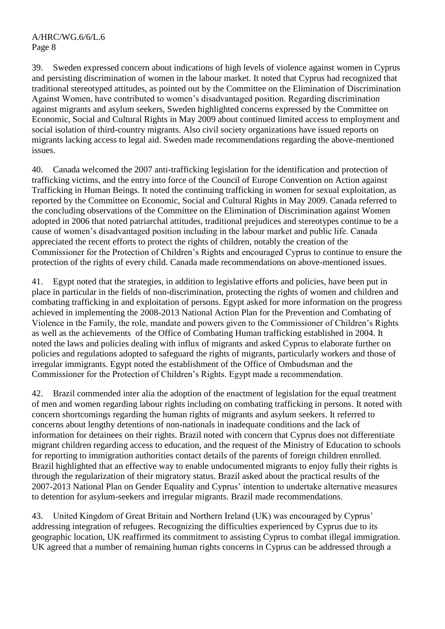39. Sweden expressed concern about indications of high levels of violence against women in Cyprus and persisting discrimination of women in the labour market. It noted that Cyprus had recognized that traditional stereotyped attitudes, as pointed out by the Committee on the Elimination of Discrimination Against Women, have contributed to women's disadvantaged position. Regarding discrimination against migrants and asylum seekers, Sweden highlighted concerns expressed by the Committee on Economic, Social and Cultural Rights in May 2009 about continued limited access to employment and social isolation of third-country migrants. Also civil society organizations have issued reports on migrants lacking access to legal aid. Sweden made recommendations regarding the above-mentioned issues.

40. Canada welcomed the 2007 anti-trafficking legislation for the identification and protection of trafficking victims, and the entry into force of the Council of Europe Convention on Action against Trafficking in Human Beings. It noted the continuing trafficking in women for sexual exploitation, as reported by the Committee on Economic, Social and Cultural Rights in May 2009. Canada referred to the concluding observations of the Committee on the Elimination of Discrimination against Women adopted in 2006 that noted patriarchal attitudes, traditional prejudices and stereotypes continue to be a cause of women's disadvantaged position including in the labour market and public life. Canada appreciated the recent efforts to protect the rights of children, notably the creation of the Commissioner for the Protection of Children's Rights and encouraged Cyprus to continue to ensure the protection of the rights of every child. Canada made recommendations on above-mentioned issues.

41. Egypt noted that the strategies, in addition to legislative efforts and policies, have been put in place in particular in the fields of non-discrimination, protecting the rights of women and children and combating trafficking in and exploitation of persons. Egypt asked for more information on the progress achieved in implementing the 2008-2013 National Action Plan for the Prevention and Combating of Violence in the Family, the role, mandate and powers given to the Commissioner of Children's Rights as well as the achievements of the Office of Combating Human trafficking established in 2004. It noted the laws and policies dealing with influx of migrants and asked Cyprus to elaborate further on policies and regulations adopted to safeguard the rights of migrants, particularly workers and those of irregular immigrants. Egypt noted the establishment of the Office of Ombudsman and the Commissioner for the Protection of Children's Rights. Egypt made a recommendation.

42. Brazil commended inter alia the adoption of the enactment of legislation for the equal treatment of men and women regarding labour rights including on combating trafficking in persons. It noted with concern shortcomings regarding the human rights of migrants and asylum seekers. It referred to concerns about lengthy detentions of non-nationals in inadequate conditions and the lack of information for detainees on their rights. Brazil noted with concern that Cyprus does not differentiate migrant children regarding access to education, and the request of the Ministry of Education to schools for reporting to immigration authorities contact details of the parents of foreign children enrolled. Brazil highlighted that an effective way to enable undocumented migrants to enjoy fully their rights is through the regularization of their migratory status. Brazil asked about the practical results of the 2007-2013 National Plan on Gender Equality and Cyprus' intention to undertake alternative measures to detention for asylum-seekers and irregular migrants. Brazil made recommendations.

43. United Kingdom of Great Britain and Northern Ireland (UK) was encouraged by Cyprus' addressing integration of refugees. Recognizing the difficulties experienced by Cyprus due to its geographic location, UK reaffirmed its commitment to assisting Cyprus to combat illegal immigration. UK agreed that a number of remaining human rights concerns in Cyprus can be addressed through a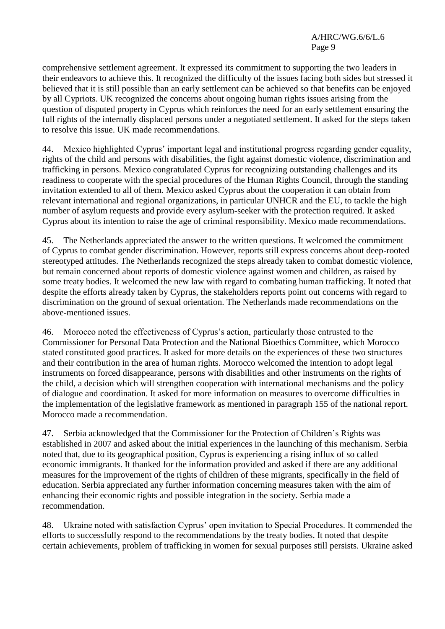comprehensive settlement agreement. It expressed its commitment to supporting the two leaders in their endeavors to achieve this. It recognized the difficulty of the issues facing both sides but stressed it believed that it is still possible than an early settlement can be achieved so that benefits can be enjoyed by all Cypriots. UK recognized the concerns about ongoing human rights issues arising from the question of disputed property in Cyprus which reinforces the need for an early settlement ensuring the full rights of the internally displaced persons under a negotiated settlement. It asked for the steps taken to resolve this issue. UK made recommendations.

Mexico highlighted Cyprus' important legal and institutional progress regarding gender equality, rights of the child and persons with disabilities, the fight against domestic violence, discrimination and trafficking in persons. Mexico congratulated Cyprus for recognizing outstanding challenges and its readiness to cooperate with the special procedures of the Human Rights Council, through the standing invitation extended to all of them. Mexico asked Cyprus about the cooperation it can obtain from relevant international and regional organizations, in particular UNHCR and the EU, to tackle the high number of asylum requests and provide every asylum-seeker with the protection required. It asked Cyprus about its intention to raise the age of criminal responsibility. Mexico made recommendations.

45. The Netherlands appreciated the answer to the written questions. It welcomed the commitment of Cyprus to combat gender discrimination. However, reports still express concerns about deep-rooted stereotyped attitudes. The Netherlands recognized the steps already taken to combat domestic violence, but remain concerned about reports of domestic violence against women and children, as raised by some treaty bodies. It welcomed the new law with regard to combating human trafficking. It noted that despite the efforts already taken by Cyprus, the stakeholders reports point out concerns with regard to discrimination on the ground of sexual orientation. The Netherlands made recommendations on the above-mentioned issues.

46. Morocco noted the effectiveness of Cyprus's action, particularly those entrusted to the Commissioner for Personal Data Protection and the National Bioethics Committee, which Morocco stated constituted good practices. It asked for more details on the experiences of these two structures and their contribution in the area of human rights. Morocco welcomed the intention to adopt legal instruments on forced disappearance, persons with disabilities and other instruments on the rights of the child, a decision which will strengthen cooperation with international mechanisms and the policy of dialogue and coordination. It asked for more information on measures to overcome difficulties in the implementation of the legislative framework as mentioned in paragraph 155 of the national report. Morocco made a recommendation.

47. Serbia acknowledged that the Commissioner for the Protection of Children's Rights was established in 2007 and asked about the initial experiences in the launching of this mechanism. Serbia noted that, due to its geographical position, Cyprus is experiencing a rising influx of so called economic immigrants. It thanked for the information provided and asked if there are any additional measures for the improvement of the rights of children of these migrants, specifically in the field of education. Serbia appreciated any further information concerning measures taken with the aim of enhancing their economic rights and possible integration in the society. Serbia made a recommendation.

48. Ukraine noted with satisfaction Cyprus' open invitation to Special Procedures. It commended the efforts to successfully respond to the recommendations by the treaty bodies. It noted that despite certain achievements, problem of trafficking in women for sexual purposes still persists. Ukraine asked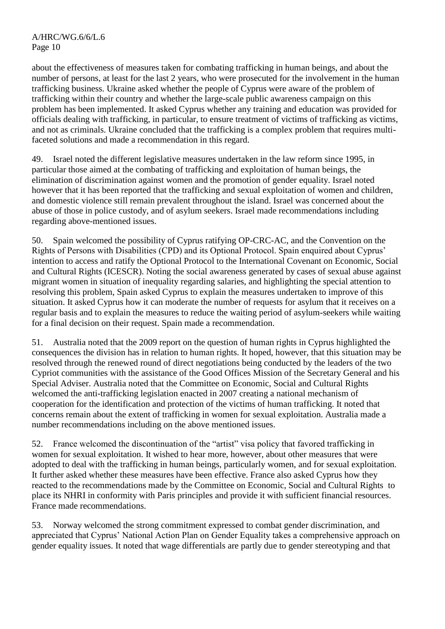about the effectiveness of measures taken for combating trafficking in human beings, and about the number of persons, at least for the last 2 years, who were prosecuted for the involvement in the human trafficking business. Ukraine asked whether the people of Cyprus were aware of the problem of trafficking within their country and whether the large-scale public awareness campaign on this problem has been implemented. It asked Cyprus whether any training and education was provided for officials dealing with trafficking, in particular, to ensure treatment of victims of trafficking as victims, and not as criminals. Ukraine concluded that the trafficking is a complex problem that requires multifaceted solutions and made a recommendation in this regard.

49. Israel noted the different legislative measures undertaken in the law reform since 1995, in particular those aimed at the combating of trafficking and exploitation of human beings, the elimination of discrimination against women and the promotion of gender equality. Israel noted however that it has been reported that the trafficking and sexual exploitation of women and children, and domestic violence still remain prevalent throughout the island. Israel was concerned about the abuse of those in police custody, and of asylum seekers. Israel made recommendations including regarding above-mentioned issues.

50. Spain welcomed the possibility of Cyprus ratifying OP-CRC-AC, and the Convention on the Rights of Persons with Disabilities (CPD) and its Optional Protocol. Spain enquired about Cyprus' intention to access and ratify the Optional Protocol to the International Covenant on Economic, Social and Cultural Rights (ICESCR). Noting the social awareness generated by cases of sexual abuse against migrant women in situation of inequality regarding salaries, and highlighting the special attention to resolving this problem, Spain asked Cyprus to explain the measures undertaken to improve of this situation. It asked Cyprus how it can moderate the number of requests for asylum that it receives on a regular basis and to explain the measures to reduce the waiting period of asylum-seekers while waiting for a final decision on their request. Spain made a recommendation.

51. Australia noted that the 2009 report on the question of human rights in Cyprus highlighted the consequences the division has in relation to human rights. It hoped, however, that this situation may be resolved through the renewed round of direct negotiations being conducted by the leaders of the two Cypriot communities with the assistance of the Good Offices Mission of the Secretary General and his Special Adviser. Australia noted that the Committee on Economic, Social and Cultural Rights welcomed the anti-trafficking legislation enacted in 2007 creating a national mechanism of cooperation for the identification and protection of the victims of human trafficking. It noted that concerns remain about the extent of trafficking in women for sexual exploitation. Australia made a number recommendations including on the above mentioned issues.

52. France welcomed the discontinuation of the "artist" visa policy that favored trafficking in women for sexual exploitation. It wished to hear more, however, about other measures that were adopted to deal with the trafficking in human beings, particularly women, and for sexual exploitation. It further asked whether these measures have been effective. France also asked Cyprus how they reacted to the recommendations made by the Committee on Economic, Social and Cultural Rights to place its NHRI in conformity with Paris principles and provide it with sufficient financial resources. France made recommendations.

53. Norway welcomed the strong commitment expressed to combat gender discrimination, and appreciated that Cyprus' National Action Plan on Gender Equality takes a comprehensive approach on gender equality issues. It noted that wage differentials are partly due to gender stereotyping and that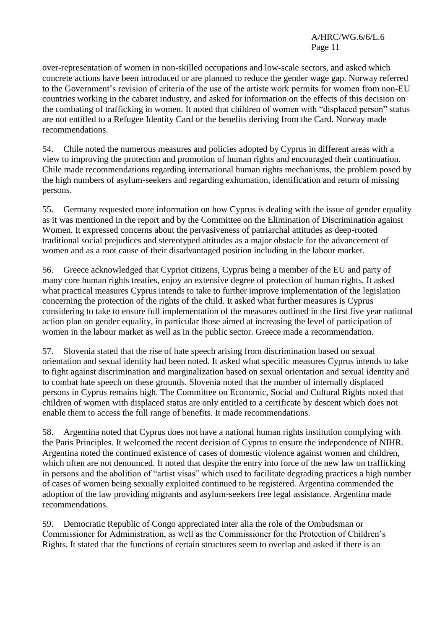over-representation of women in non-skilled occupations and low-scale sectors, and asked which concrete actions have been introduced or are planned to reduce the gender wage gap. Norway referred to the Government's revision of criteria of the use of the artiste work permits for women from non-EU countries working in the cabaret industry, and asked for information on the effects of this decision on the combating of trafficking in women. It noted that children of women with "displaced person" status are not entitled to a Refugee Identity Card or the benefits deriving from the Card. Norway made recommendations.

54. Chile noted the numerous measures and policies adopted by Cyprus in different areas with a view to improving the protection and promotion of human rights and encouraged their continuation. Chile made recommendations regarding international human rights mechanisms, the problem posed by the high numbers of asylum-seekers and regarding exhumation, identification and return of missing persons.

55. Germany requested more information on how Cyprus is dealing with the issue of gender equality as it was mentioned in the report and by the Committee on the Elimination of Discrimination against Women. It expressed concerns about the pervasiveness of patriarchal attitudes as deep-rooted traditional social prejudices and stereotyped attitudes as a major obstacle for the advancement of women and as a root cause of their disadvantaged position including in the labour market.

56. Greece acknowledged that Cypriot citizens, Cyprus being a member of the EU and party of many core human rights treaties, enjoy an extensive degree of protection of human rights. It asked what practical measures Cyprus intends to take to further improve implementation of the legislation concerning the protection of the rights of the child. It asked what further measures is Cyprus considering to take to ensure full implementation of the measures outlined in the first five year national action plan on gender equality, in particular those aimed at increasing the level of participation of women in the labour market as well as in the public sector. Greece made a recommendation.

57. Slovenia stated that the rise of hate speech arising from discrimination based on sexual orientation and sexual identity had been noted. It asked what specific measures Cyprus intends to take to fight against discrimination and marginalization based on sexual orientation and sexual identity and to combat hate speech on these grounds. Slovenia noted that the number of internally displaced persons in Cyprus remains high. The Committee on Economic, Social and Cultural Rights noted that children of women with displaced status are only entitled to a certificate by descent which does not enable them to access the full range of benefits. It made recommendations.

58. Argentina noted that Cyprus does not have a national human rights institution complying with the Paris Principles. It welcomed the recent decision of Cyprus to ensure the independence of NIHR. Argentina noted the continued existence of cases of domestic violence against women and children, which often are not denounced. It noted that despite the entry into force of the new law on trafficking in persons and the abolition of "artist visas" which used to facilitate degrading practices a high number of cases of women being sexually exploited continued to be registered. Argentina commended the adoption of the law providing migrants and asylum-seekers free legal assistance. Argentina made recommendations.

59. Democratic Republic of Congo appreciated inter alia the role of the Ombudsman or Commissioner for Administration, as well as the Commissioner for the Protection of Children's Rights. It stated that the functions of certain structures seem to overlap and asked if there is an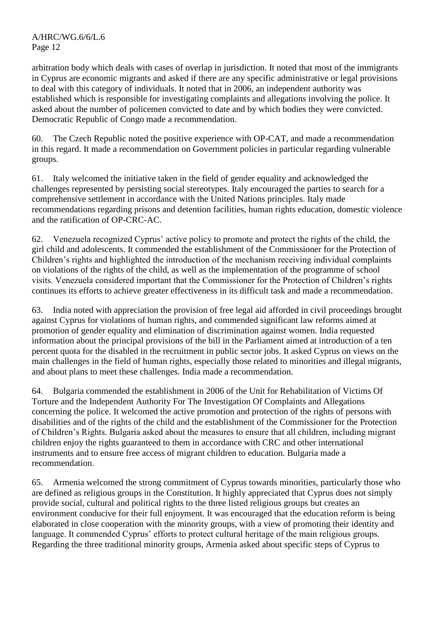arbitration body which deals with cases of overlap in jurisdiction. It noted that most of the immigrants in Cyprus are economic migrants and asked if there are any specific administrative or legal provisions to deal with this category of individuals. It noted that in 2006, an independent authority was established which is responsible for investigating complaints and allegations involving the police. It asked about the number of policemen convicted to date and by which bodies they were convicted. Democratic Republic of Congo made a recommendation.

60. The Czech Republic noted the positive experience with OP-CAT, and made a recommendation in this regard. It made a recommendation on Government policies in particular regarding vulnerable groups.

61. Italy welcomed the initiative taken in the field of gender equality and acknowledged the challenges represented by persisting social stereotypes. Italy encouraged the parties to search for a comprehensive settlement in accordance with the United Nations principles. Italy made recommendations regarding prisons and detention facilities, human rights education, domestic violence and the ratification of OP-CRC-AC.

62. Venezuela recognized Cyprus' active policy to promote and protect the rights of the child, the girl child and adolescents. It commended the establishment of the Commissioner for the Protection of Children's rights and highlighted the introduction of the mechanism receiving individual complaints on violations of the rights of the child, as well as the implementation of the programme of school visits. Venezuela considered important that the Commissioner for the Protection of Children's rights continues its efforts to achieve greater effectiveness in its difficult task and made a recommendation.

63. India noted with appreciation the provision of free legal aid afforded in civil proceedings brought against Cyprus for violations of human rights, and commended significant law reforms aimed at promotion of gender equality and elimination of discrimination against women. India requested information about the principal provisions of the bill in the Parliament aimed at introduction of a ten percent quota for the disabled in the recruitment in public sector jobs. It asked Cyprus on views on the main challenges in the field of human rights, especially those related to minorities and illegal migrants, and about plans to meet these challenges. India made a recommendation.

64. Bulgaria commended the establishment in 2006 of the Unit for Rehabilitation of Victims Of Torture and the Independent Authority For The Investigation Of Complaints and Allegations concerning the police. It welcomed the active promotion and protection of the rights of persons with disabilities and of the rights of the child and the establishment of the Commissioner for the Protection of Children's Rights. Bulgaria asked about the measures to ensure that all children, including migrant children enjoy the rights guaranteed to them in accordance with CRC and other international instruments and to ensure free access of migrant children to education. Bulgaria made a recommendation.

65. Armenia welcomed the strong commitment of Cyprus towards minorities, particularly those who are defined as religious groups in the Constitution. It highly appreciated that Cyprus does not simply provide social, cultural and political rights to the three listed religious groups but creates an environment conducive for their full enjoyment. It was encouraged that the education reform is being elaborated in close cooperation with the minority groups, with a view of promoting their identity and language. It commended Cyprus' efforts to protect cultural heritage of the main religious groups. Regarding the three traditional minority groups, Armenia asked about specific steps of Cyprus to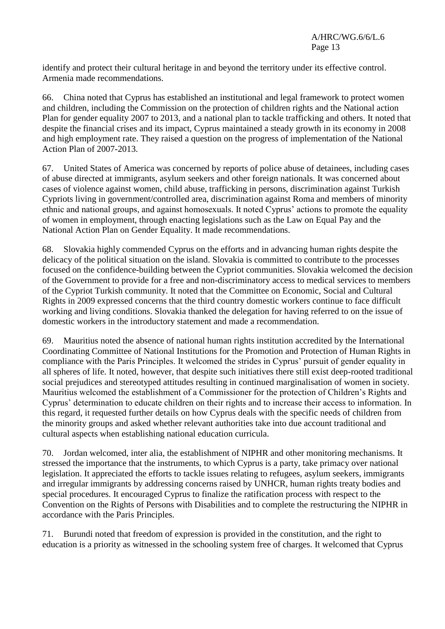identify and protect their cultural heritage in and beyond the territory under its effective control. Armenia made recommendations.

66. China noted that Cyprus has established an institutional and legal framework to protect women and children, including the Commission on the protection of children rights and the National action Plan for gender equality 2007 to 2013, and a national plan to tackle trafficking and others. It noted that despite the financial crises and its impact, Cyprus maintained a steady growth in its economy in 2008 and high employment rate. They raised a question on the progress of implementation of the National Action Plan of 2007-2013.

67. United States of America was concerned by reports of police abuse of detainees, including cases of abuse directed at immigrants, asylum seekers and other foreign nationals. It was concerned about cases of violence against women, child abuse, trafficking in persons, discrimination against Turkish Cypriots living in government/controlled area, discrimination against Roma and members of minority ethnic and national groups, and against homosexuals. It noted Cyprus' actions to promote the equality of women in employment, through enacting legislations such as the Law on Equal Pay and the National Action Plan on Gender Equality. It made recommendations.

68. Slovakia highly commended Cyprus on the efforts and in advancing human rights despite the delicacy of the political situation on the island. Slovakia is committed to contribute to the processes focused on the confidence-building between the Cypriot communities. Slovakia welcomed the decision of the Government to provide for a free and non-discriminatory access to medical services to members of the Cypriot Turkish community. It noted that the Committee on Economic, Social and Cultural Rights in 2009 expressed concerns that the third country domestic workers continue to face difficult working and living conditions. Slovakia thanked the delegation for having referred to on the issue of domestic workers in the introductory statement and made a recommendation.

69. Mauritius noted the absence of national human rights institution accredited by the International Coordinating Committee of National Institutions for the Promotion and Protection of Human Rights in compliance with the Paris Principles. It welcomed the strides in Cyprus' pursuit of gender equality in all spheres of life. It noted, however, that despite such initiatives there still exist deep-rooted traditional social prejudices and stereotyped attitudes resulting in continued marginalisation of women in society. Mauritius welcomed the establishment of a Commissioner for the protection of Children's Rights and Cyprus' determination to educate children on their rights and to increase their access to information. In this regard, it requested further details on how Cyprus deals with the specific needs of children from the minority groups and asked whether relevant authorities take into due account traditional and cultural aspects when establishing national education curricula.

70. Jordan welcomed, inter alia, the establishment of NIPHR and other monitoring mechanisms. It stressed the importance that the instruments, to which Cyprus is a party, take primacy over national legislation. It appreciated the efforts to tackle issues relating to refugees, asylum seekers, immigrants and irregular immigrants by addressing concerns raised by UNHCR, human rights treaty bodies and special procedures. It encouraged Cyprus to finalize the ratification process with respect to the Convention on the Rights of Persons with Disabilities and to complete the restructuring the NIPHR in accordance with the Paris Principles.

71. Burundi noted that freedom of expression is provided in the constitution, and the right to education is a priority as witnessed in the schooling system free of charges. It welcomed that Cyprus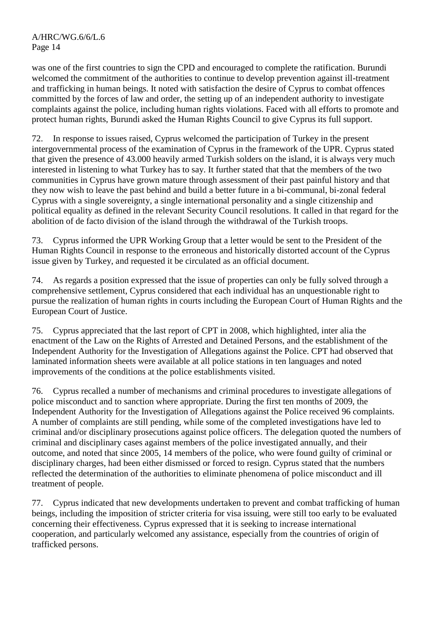was one of the first countries to sign the CPD and encouraged to complete the ratification. Burundi welcomed the commitment of the authorities to continue to develop prevention against ill-treatment and trafficking in human beings. It noted with satisfaction the desire of Cyprus to combat offences committed by the forces of law and order, the setting up of an independent authority to investigate complaints against the police, including human rights violations. Faced with all efforts to promote and protect human rights, Burundi asked the Human Rights Council to give Cyprus its full support.

72. In response to issues raised, Cyprus welcomed the participation of Turkey in the present intergovernmental process of the examination of Cyprus in the framework of the UPR. Cyprus stated that given the presence of 43.000 heavily armed Turkish solders on the island, it is always very much interested in listening to what Turkey has to say. It further stated that that the members of the two communities in Cyprus have grown mature through assessment of their past painful history and that they now wish to leave the past behind and build a better future in a bi-communal, bi-zonal federal Cyprus with a single sovereignty, a single international personality and a single citizenship and political equality as defined in the relevant Security Council resolutions. It called in that regard for the abolition of de facto division of the island through the withdrawal of the Turkish troops.

73. Cyprus informed the UPR Working Group that a letter would be sent to the President of the Human Rights Council in response to the erroneous and historically distorted account of the Cyprus issue given by Turkey, and requested it be circulated as an official document.

74. As regards a position expressed that the issue of properties can only be fully solved through a comprehensive settlement, Cyprus considered that each individual has an unquestionable right to pursue the realization of human rights in courts including the European Court of Human Rights and the European Court of Justice.

75. Cyprus appreciated that the last report of CPT in 2008, which highlighted, inter alia the enactment of the Law on the Rights of Arrested and Detained Persons, and the establishment of the Independent Authority for the Investigation of Allegations against the Police. CPT had observed that laminated information sheets were available at all police stations in ten languages and noted improvements of the conditions at the police establishments visited.

76. Cyprus recalled a number of mechanisms and criminal procedures to investigate allegations of police misconduct and to sanction where appropriate. During the first ten months of 2009, the Independent Authority for the Investigation of Allegations against the Police received 96 complaints. A number of complaints are still pending, while some of the completed investigations have led to criminal and/or disciplinary prosecutions against police officers. The delegation quoted the numbers of criminal and disciplinary cases against members of the police investigated annually, and their outcome, and noted that since 2005, 14 members of the police, who were found guilty of criminal or disciplinary charges, had been either dismissed or forced to resign. Cyprus stated that the numbers reflected the determination of the authorities to eliminate phenomena of police misconduct and ill treatment of people.

77. Cyprus indicated that new developments undertaken to prevent and combat trafficking of human beings, including the imposition of stricter criteria for visa issuing, were still too early to be evaluated concerning their effectiveness. Cyprus expressed that it is seeking to increase international cooperation, and particularly welcomed any assistance, especially from the countries of origin of trafficked persons.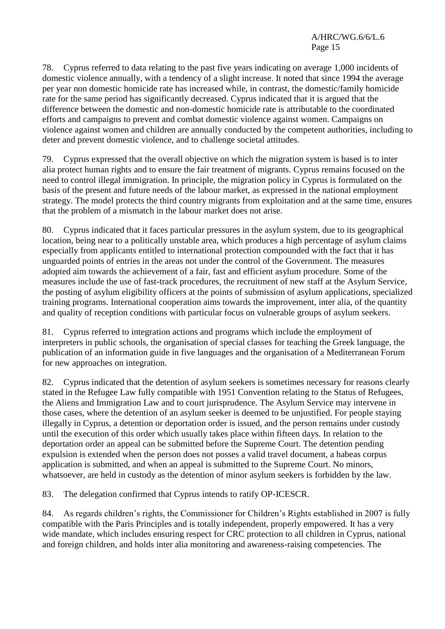78. Cyprus referred to data relating to the past five years indicating on average 1,000 incidents of domestic violence annually, with a tendency of a slight increase. It noted that since 1994 the average per year non domestic homicide rate has increased while, in contrast, the domestic/family homicide rate for the same period has significantly decreased. Cyprus indicated that it is argued that the difference between the domestic and non-domestic homicide rate is attributable to the coordinated efforts and campaigns to prevent and combat domestic violence against women. Campaigns on violence against women and children are annually conducted by the competent authorities, including to deter and prevent domestic violence, and to challenge societal attitudes.

79. Cyprus expressed that the overall objective on which the migration system is based is to inter alia protect human rights and to ensure the fair treatment of migrants. Cyprus remains focused on the need to control illegal immigration. In principle, the migration policy in Cyprus is formulated on the basis of the present and future needs of the labour market, as expressed in the national employment strategy. The model protects the third country migrants from exploitation and at the same time, ensures that the problem of a mismatch in the labour market does not arise.

80. Cyprus indicated that it faces particular pressures in the asylum system, due to its geographical location, being near to a politically unstable area, which produces a high percentage of asylum claims especially from applicants entitled to international protection compounded with the fact that it has unguarded points of entries in the areas not under the control of the Government. The measures adopted aim towards the achievement of a fair, fast and efficient asylum procedure. Some of the measures include the use of fast-track procedures, the recruitment of new staff at the Asylum Service, the posting of asylum eligibility officers at the points of submission of asylum applications, specialized training programs. International cooperation aims towards the improvement, inter alia, of the quantity and quality of reception conditions with particular focus on vulnerable groups of asylum seekers.

81. Cyprus referred to integration actions and programs which include the employment of interpreters in public schools, the organisation of special classes for teaching the Greek language, the publication of an information guide in five languages and the organisation of a Mediterranean Forum for new approaches on integration.

82. Cyprus indicated that the detention of asylum seekers is sometimes necessary for reasons clearly stated in the Refugee Law fully compatible with 1951 Convention relating to the Status of Refugees, the Aliens and Immigration Law and to court jurisprudence. The Asylum Service may intervene in those cases, where the detention of an asylum seeker is deemed to be unjustified. For people staying illegally in Cyprus, a detention or deportation order is issued, and the person remains under custody until the execution of this order which usually takes place within fifteen days. In relation to the deportation order an appeal can be submitted before the Supreme Court. The detention pending expulsion is extended when the person does not posses a valid travel document, a habeas corpus application is submitted, and when an appeal is submitted to the Supreme Court. No minors, whatsoever, are held in custody as the detention of minor asylum seekers is forbidden by the law.

83. The delegation confirmed that Cyprus intends to ratify OP-ICESCR.

84. As regards children's rights, the Commissioner for Children's Rights established in 2007 is fully compatible with the Paris Principles and is totally independent, properly empowered. It has a very wide mandate, which includes ensuring respect for CRC protection to all children in Cyprus, national and foreign children, and holds inter alia monitoring and awareness-raising competencies. The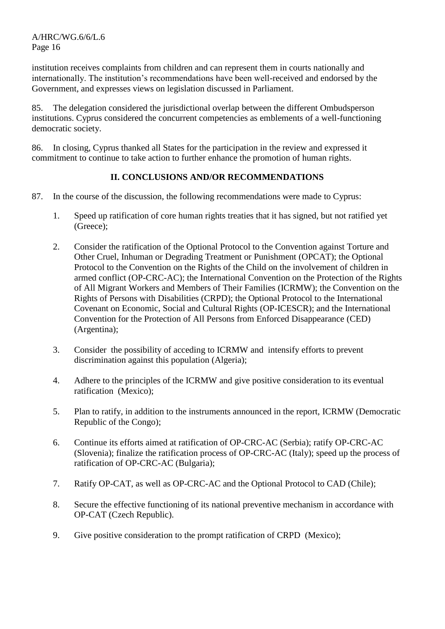institution receives complaints from children and can represent them in courts nationally and internationally. The institution's recommendations have been well-received and endorsed by the Government, and expresses views on legislation discussed in Parliament.

85. The delegation considered the jurisdictional overlap between the different Ombudsperson institutions. Cyprus considered the concurrent competencies as emblements of a well-functioning democratic society.

86. In closing, Cyprus thanked all States for the participation in the review and expressed it commitment to continue to take action to further enhance the promotion of human rights.

### **II. CONCLUSIONS AND/OR RECOMMENDATIONS**

- 87. In the course of the discussion, the following recommendations were made to Cyprus:
	- 1. Speed up ratification of core human rights treaties that it has signed, but not ratified yet (Greece);
	- 2. Consider the ratification of the Optional Protocol to the Convention against Torture and Other Cruel, Inhuman or Degrading Treatment or Punishment (OPCAT); the Optional Protocol to the Convention on the Rights of the Child on the involvement of children in armed conflict (OP-CRC-AC); the International Convention on the Protection of the Rights of All Migrant Workers and Members of Their Families (ICRMW); the Convention on the Rights of Persons with Disabilities (CRPD); the Optional Protocol to the International Covenant on Economic, Social and Cultural Rights (OP-ICESCR); and the International Convention for the Protection of All Persons from Enforced Disappearance (CED) (Argentina);
	- 3. Consider the possibility of acceding to ICRMW and intensify efforts to prevent discrimination against this population (Algeria);
	- 4. Adhere to the principles of the ICRMW and give positive consideration to its eventual ratification (Mexico);
	- 5. Plan to ratify, in addition to the instruments announced in the report, ICRMW (Democratic Republic of the Congo);
	- 6. Continue its efforts aimed at ratification of OP-CRC-AC (Serbia); ratify OP-CRC-AC (Slovenia); finalize the ratification process of OP-CRC-AC (Italy); speed up the process of ratification of OP-CRC-AC (Bulgaria);
	- 7. Ratify OP-CAT, as well as OP-CRC-AC and the Optional Protocol to CAD (Chile);
	- 8. Secure the effective functioning of its national preventive mechanism in accordance with OP-CAT (Czech Republic).
	- 9. Give positive consideration to the prompt ratification of CRPD (Mexico);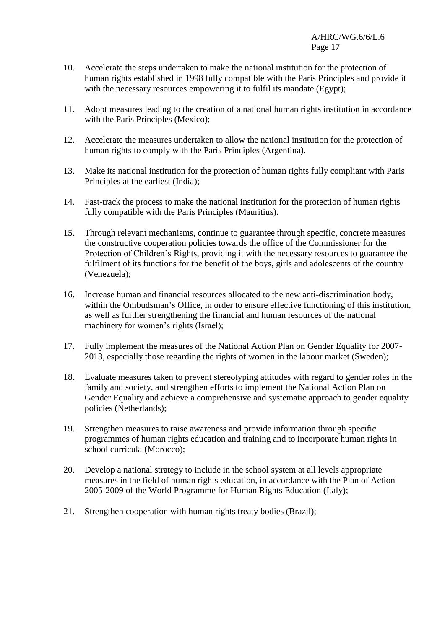- 10. Accelerate the steps undertaken to make the national institution for the protection of human rights established in 1998 fully compatible with the Paris Principles and provide it with the necessary resources empowering it to fulfil its mandate (Egypt):
- 11. Adopt measures leading to the creation of a national human rights institution in accordance with the Paris Principles (Mexico);
- 12. Accelerate the measures undertaken to allow the national institution for the protection of human rights to comply with the Paris Principles (Argentina).
- 13. Make its national institution for the protection of human rights fully compliant with Paris Principles at the earliest (India);
- 14. Fast-track the process to make the national institution for the protection of human rights fully compatible with the Paris Principles (Mauritius).
- 15. Through relevant mechanisms, continue to guarantee through specific, concrete measures the constructive cooperation policies towards the office of the Commissioner for the Protection of Children's Rights, providing it with the necessary resources to guarantee the fulfilment of its functions for the benefit of the boys, girls and adolescents of the country (Venezuela);
- 16. Increase human and financial resources allocated to the new anti-discrimination body, within the Ombudsman's Office, in order to ensure effective functioning of this institution, as well as further strengthening the financial and human resources of the national machinery for women's rights (Israel);
- 17. Fully implement the measures of the National Action Plan on Gender Equality for 2007- 2013, especially those regarding the rights of women in the labour market (Sweden);
- 18. Evaluate measures taken to prevent stereotyping attitudes with regard to gender roles in the family and society, and strengthen efforts to implement the National Action Plan on Gender Equality and achieve a comprehensive and systematic approach to gender equality policies (Netherlands);
- 19. Strengthen measures to raise awareness and provide information through specific programmes of human rights education and training and to incorporate human rights in school curricula (Morocco);
- 20. Develop a national strategy to include in the school system at all levels appropriate measures in the field of human rights education, in accordance with the Plan of Action 2005-2009 of the World Programme for Human Rights Education (Italy);
- 21. Strengthen cooperation with human rights treaty bodies (Brazil);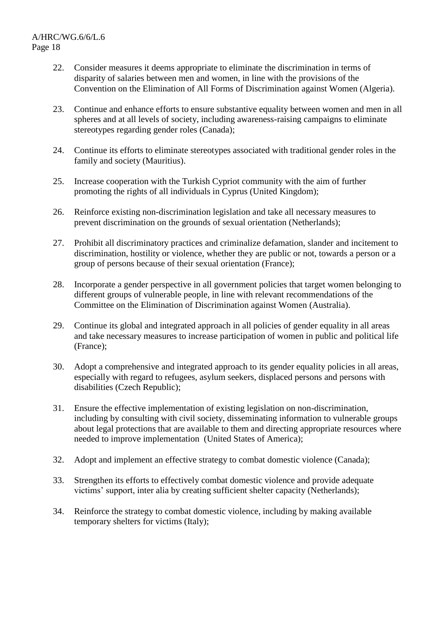- 22. Consider measures it deems appropriate to eliminate the discrimination in terms of disparity of salaries between men and women, in line with the provisions of the Convention on the Elimination of All Forms of Discrimination against Women (Algeria).
- 23. Continue and enhance efforts to ensure substantive equality between women and men in all spheres and at all levels of society, including awareness-raising campaigns to eliminate stereotypes regarding gender roles (Canada);
- 24. Continue its efforts to eliminate stereotypes associated with traditional gender roles in the family and society (Mauritius).
- 25. Increase cooperation with the Turkish Cypriot community with the aim of further promoting the rights of all individuals in Cyprus (United Kingdom);
- 26. Reinforce existing non-discrimination legislation and take all necessary measures to prevent discrimination on the grounds of sexual orientation (Netherlands);
- 27. Prohibit all discriminatory practices and criminalize defamation, slander and incitement to discrimination, hostility or violence, whether they are public or not, towards a person or a group of persons because of their sexual orientation (France);
- 28. Incorporate a gender perspective in all government policies that target women belonging to different groups of vulnerable people, in line with relevant recommendations of the Committee on the Elimination of Discrimination against Women (Australia).
- 29. Continue its global and integrated approach in all policies of gender equality in all areas and take necessary measures to increase participation of women in public and political life (France);
- 30. Adopt a comprehensive and integrated approach to its gender equality policies in all areas, especially with regard to refugees, asylum seekers, displaced persons and persons with disabilities (Czech Republic);
- 31. Ensure the effective implementation of existing legislation on non-discrimination, including by consulting with civil society, disseminating information to vulnerable groups about legal protections that are available to them and directing appropriate resources where needed to improve implementation (United States of America);
- 32. Adopt and implement an effective strategy to combat domestic violence (Canada);
- 33. Strengthen its efforts to effectively combat domestic violence and provide adequate victims' support, inter alia by creating sufficient shelter capacity (Netherlands);
- 34. Reinforce the strategy to combat domestic violence, including by making available temporary shelters for victims (Italy);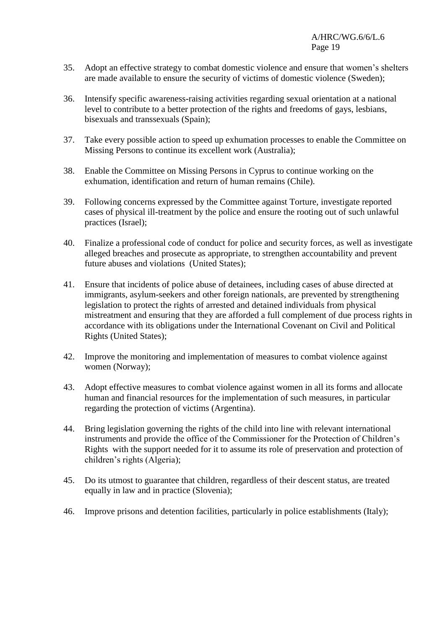- 35. Adopt an effective strategy to combat domestic violence and ensure that women's shelters are made available to ensure the security of victims of domestic violence (Sweden);
- 36. Intensify specific awareness-raising activities regarding sexual orientation at a national level to contribute to a better protection of the rights and freedoms of gays, lesbians, bisexuals and transsexuals (Spain);
- 37. Take every possible action to speed up exhumation processes to enable the Committee on Missing Persons to continue its excellent work (Australia);
- 38. Enable the Committee on Missing Persons in Cyprus to continue working on the exhumation, identification and return of human remains (Chile).
- 39. Following concerns expressed by the Committee against Torture, investigate reported cases of physical ill-treatment by the police and ensure the rooting out of such unlawful practices (Israel);
- 40. Finalize a professional code of conduct for police and security forces, as well as investigate alleged breaches and prosecute as appropriate, to strengthen accountability and prevent future abuses and violations (United States);
- 41. Ensure that incidents of police abuse of detainees, including cases of abuse directed at immigrants, asylum-seekers and other foreign nationals, are prevented by strengthening legislation to protect the rights of arrested and detained individuals from physical mistreatment and ensuring that they are afforded a full complement of due process rights in accordance with its obligations under the International Covenant on Civil and Political Rights (United States);
- 42. Improve the monitoring and implementation of measures to combat violence against women (Norway);
- 43. Adopt effective measures to combat violence against women in all its forms and allocate human and financial resources for the implementation of such measures, in particular regarding the protection of victims (Argentina).
- 44. Bring legislation governing the rights of the child into line with relevant international instruments and provide the office of the Commissioner for the Protection of Children's Rights with the support needed for it to assume its role of preservation and protection of children's rights (Algeria);
- 45. Do its utmost to guarantee that children, regardless of their descent status, are treated equally in law and in practice (Slovenia);
- 46. Improve prisons and detention facilities, particularly in police establishments (Italy);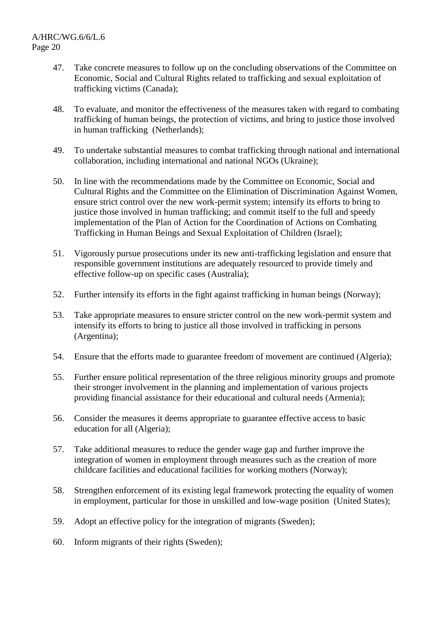- 47. Take concrete measures to follow up on the concluding observations of the Committee on Economic, Social and Cultural Rights related to trafficking and sexual exploitation of trafficking victims (Canada);
- 48. To evaluate, and monitor the effectiveness of the measures taken with regard to combating trafficking of human beings, the protection of victims, and bring to justice those involved in human trafficking (Netherlands);
- 49. To undertake substantial measures to combat trafficking through national and international collaboration, including international and national NGOs (Ukraine);
- 50. In line with the recommendations made by the Committee on Economic, Social and Cultural Rights and the Committee on the Elimination of Discrimination Against Women, ensure strict control over the new work-permit system; intensify its efforts to bring to justice those involved in human trafficking; and commit itself to the full and speedy implementation of the Plan of Action for the Coordination of Actions on Combating Trafficking in Human Beings and Sexual Exploitation of Children (Israel);
- 51. Vigorously pursue prosecutions under its new anti-trafficking legislation and ensure that responsible government institutions are adequately resourced to provide timely and effective follow-up on specific cases (Australia);
- 52. Further intensify its efforts in the fight against trafficking in human beings (Norway);
- 53. Take appropriate measures to ensure stricter control on the new work-permit system and intensify its efforts to bring to justice all those involved in trafficking in persons (Argentina);
- 54. Ensure that the efforts made to guarantee freedom of movement are continued (Algeria);
- 55. Further ensure political representation of the three religious minority groups and promote their stronger involvement in the planning and implementation of various projects providing financial assistance for their educational and cultural needs (Armenia);
- 56. Consider the measures it deems appropriate to guarantee effective access to basic education for all (Algeria);
- 57. Take additional measures to reduce the gender wage gap and further improve the integration of women in employment through measures such as the creation of more childcare facilities and educational facilities for working mothers (Norway);
- 58. Strengthen enforcement of its existing legal framework protecting the equality of women in employment, particular for those in unskilled and low-wage position (United States);
- 59. Adopt an effective policy for the integration of migrants (Sweden);
- 60. Inform migrants of their rights (Sweden);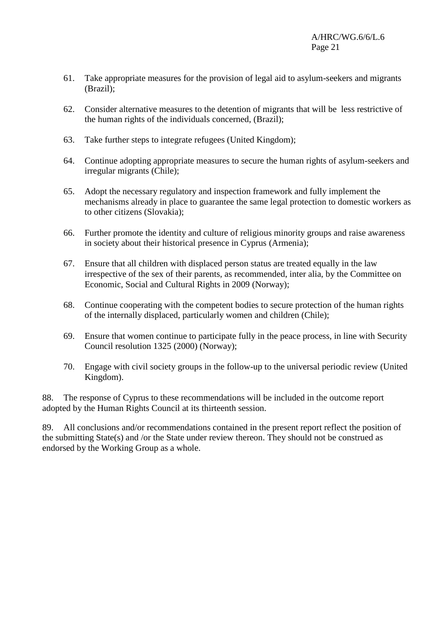- 61. Take appropriate measures for the provision of legal aid to asylum-seekers and migrants (Brazil);
- 62. Consider alternative measures to the detention of migrants that will be less restrictive of the human rights of the individuals concerned, (Brazil);
- 63. Take further steps to integrate refugees (United Kingdom);
- 64. Continue adopting appropriate measures to secure the human rights of asylum-seekers and irregular migrants (Chile);
- 65. Adopt the necessary regulatory and inspection framework and fully implement the mechanisms already in place to guarantee the same legal protection to domestic workers as to other citizens (Slovakia);
- 66. Further promote the identity and culture of religious minority groups and raise awareness in society about their historical presence in Cyprus (Armenia);
- 67. Ensure that all children with displaced person status are treated equally in the law irrespective of the sex of their parents, as recommended, inter alia, by the Committee on Economic, Social and Cultural Rights in 2009 (Norway);
- 68. Continue cooperating with the competent bodies to secure protection of the human rights of the internally displaced, particularly women and children (Chile);
- 69. Ensure that women continue to participate fully in the peace process, in line with Security Council resolution 1325 (2000) (Norway);
- 70. Engage with civil society groups in the follow-up to the universal periodic review (United Kingdom).

88. The response of Cyprus to these recommendations will be included in the outcome report adopted by the Human Rights Council at its thirteenth session.

89. All conclusions and/or recommendations contained in the present report reflect the position of the submitting State(s) and /or the State under review thereon. They should not be construed as endorsed by the Working Group as a whole.